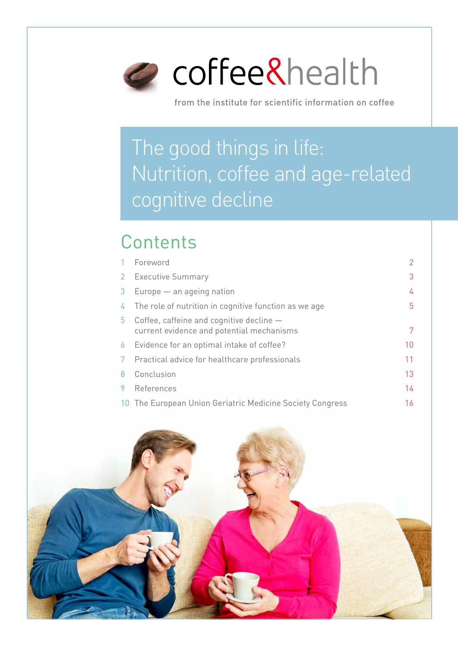

from the institute for scientific information on coffee

# The good things in life: Nutrition, coffee and age-related cognitive decline

### **Contents**

|    | Foreword                                                                                |    |
|----|-----------------------------------------------------------------------------------------|----|
| 2  | <b>Executive Summary</b>                                                                | 3  |
| 3  | Europe - an ageing nation                                                               | 4  |
| 4  | The role of nutrition in cognitive function as we age                                   | 5  |
| 5. | Coffee, caffeine and cognitive decline $-$<br>current evidence and potential mechanisms |    |
| 6  | Evidence for an optimal intake of coffee?                                               | 10 |
|    | Practical advice for healthcare professionals                                           | 11 |
| 8  | Conclusion                                                                              | 13 |
| 9  | References                                                                              | 14 |
| 10 | The European Union Geriatric Medicine Society Congress                                  | 16 |

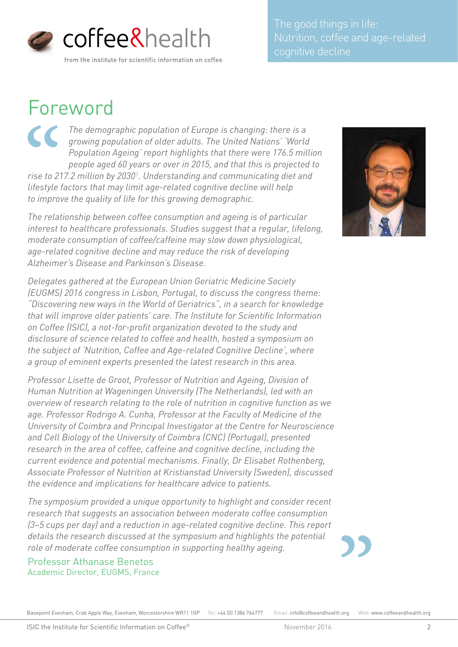

Nutrition, coffee and age-related

### Foreword

*The demographic population of Europe is changing: there is a*   $\overline{\mathcal{C}}$ *growing population of older adults. The United Nations' 'World Population Ageing' report highlights that there were 176.5 million people aged 60 years or over in 2015, and that this is projected to rise to 217.2 million by 20301. Understanding and communicating diet and lifestyle factors that may limit age-related cognitive decline will help to improve the quality of life for this growing demographic.* 

*The relationship between coffee consumption and ageing is of particular interest to healthcare professionals. Studies suggest that a regular, lifelong, moderate consumption of coffee/caffeine may slow down physiological, age-related cognitive decline and may reduce the risk of developing Alzheimer's Disease and Parkinson's Disease.*

*Delegates gathered at the European Union Geriatric Medicine Society (EUGMS) 2016 congress in Lisbon, Portugal, to discuss the congress theme: "Discovering new ways in the World of Geriatrics", in a search for knowledge that will improve older patients' care. The Institute for Scientific Information on Coffee (ISIC), a not-for-profit organization devoted to the study and disclosure of science related to coffee and health, hosted a symposium on the subject of 'Nutrition, Coffee and Age-related Cognitive Decline', where a group of eminent experts presented the latest research in this area.* 

*Professor Lisette de Groot, Professor of Nutrition and Ageing, Division of Human Nutrition at Wageningen University (The Netherlands), led with an overview of research relating to the role of nutrition in cognitive function as we age. Professor Rodrigo A. Cunha, Professor at the Faculty of Medicine of the University of Coimbra and Principal Investigator at the Centre for Neuroscience and Cell Biology of the University of Coimbra (CNC) (Portugal), presented research in the area of coffee, caffeine and cognitive decline, including the current evidence and potential mechanisms. Finally, Dr Elisabet Rothenberg, Associate Professor of Nutrition at Kristianstad University (Sweden), discussed the evidence and implications for healthcare advice to patients.*

*The symposium provided a unique opportunity to highlight and consider recent research that suggests an association between moderate coffee consumption (3–5 cups per day) and a reduction in age-related cognitive decline. This report details the research discussed at the symposium and highlights the potential role of moderate coffee consumption in supporting healthy ageing.* 

Professor Athanase Benetos Academic Director, EUGMS, France

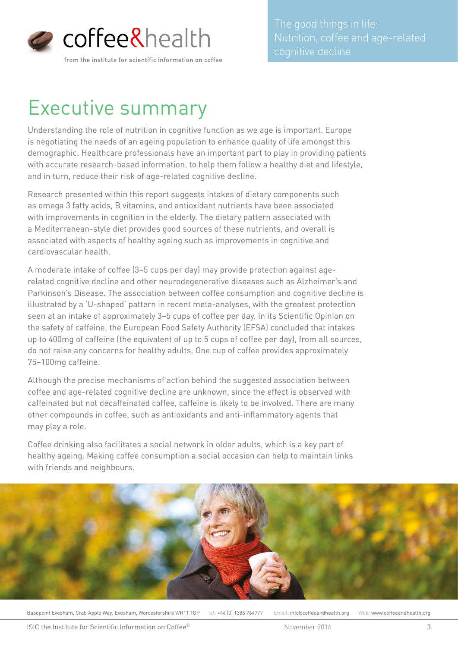

## Executive summary

Understanding the role of nutrition in cognitive function as we age is important. Europe is negotiating the needs of an ageing population to enhance quality of life amongst this demographic. Healthcare professionals have an important part to play in providing patients with accurate research-based information, to help them follow a healthy diet and lifestyle, and in turn, reduce their risk of age-related cognitive decline.

Research presented within this report suggests intakes of dietary components such as omega 3 fatty acids, B vitamins, and antioxidant nutrients have been associated with improvements in cognition in the elderly. The dietary pattern associated with a Mediterranean-style diet provides good sources of these nutrients, and overall is associated with aspects of healthy ageing such as improvements in cognitive and cardiovascular health.

A moderate intake of coffee (3–5 cups per day) may provide protection against agerelated cognitive decline and other neurodegenerative diseases such as Alzheimer's and Parkinson's Disease. The association between coffee consumption and cognitive decline is illustrated by a 'U-shaped' pattern in recent meta-analyses, with the greatest protection seen at an intake of approximately 3–5 cups of coffee per day. In its Scientific Opinion on the safety of caffeine, the European Food Safety Authority (EFSA) concluded that intakes up to 400mg of caffeine (the equivalent of up to 5 cups of coffee per day), from all sources, do not raise any concerns for healthy adults. One cup of coffee provides approximately 75–100mg caffeine.

Although the precise mechanisms of action behind the suggested association between coffee and age-related cognitive decline are unknown, since the effect is observed with caffeinated but not decaffeinated coffee, caffeine is likely to be involved. There are many other compounds in coffee, such as antioxidants and anti-inflammatory agents that may play a role.

Coffee drinking also facilitates a social network in older adults, which is a key part of healthy ageing. Making coffee consumption a social occasion can help to maintain links with friends and neighbours.

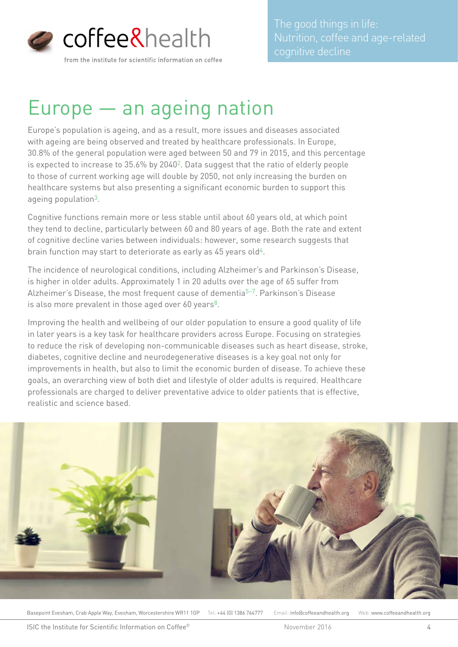

## Europe — an ageing nation

Europe's population is ageing, and as a result, more issues and diseases associated with ageing are being observed and treated by healthcare professionals. In Europe, 30.8% of the general population were aged between 50 and 79 in 2015, and this percentage is expected to increase to 35.6% by 20402. Data suggest that the ratio of elderly people to those of current working age will double by 2050, not only increasing the burden on healthcare systems but also presenting a significant economic burden to support this ageing population3.

Cognitive functions remain more or less stable until about 60 years old, at which point they tend to decline, particularly between 60 and 80 years of age. Both the rate and extent of cognitive decline varies between individuals: however, some research suggests that brain function may start to deteriorate as early as  $45$  years old<sup> $4$ </sup>.

The incidence of neurological conditions, including Alzheimer's and Parkinson's Disease, is higher in older adults. Approximately 1 in 20 adults over the age of 65 suffer from Alzheimer's Disease, the most frequent cause of dementia<sup>5-7</sup>. Parkinson's Disease is also more prevalent in those aged over 60 years<sup>8</sup>.

Improving the health and wellbeing of our older population to ensure a good quality of life in later years is a key task for healthcare providers across Europe. Focusing on strategies to reduce the risk of developing non-communicable diseases such as heart disease, stroke, diabetes, cognitive decline and neurodegenerative diseases is a key goal not only for improvements in health, but also to limit the economic burden of disease. To achieve these goals, an overarching view of both diet and lifestyle of older adults is required. Healthcare professionals are charged to deliver preventative advice to older patients that is effective, realistic and science based.

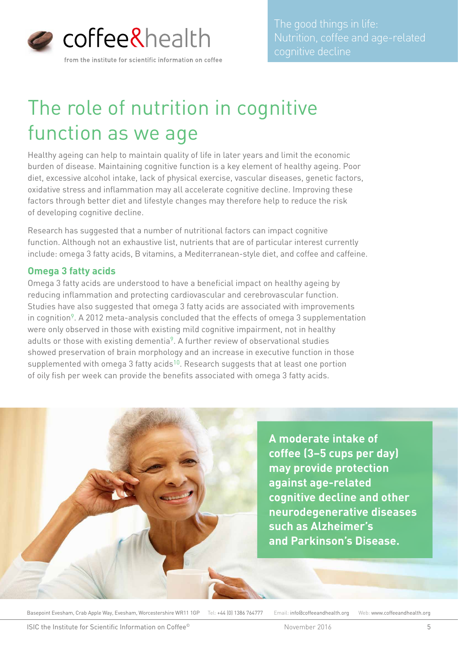

# The role of nutrition in cognitive function as we age

Healthy ageing can help to maintain quality of life in later years and limit the economic burden of disease. Maintaining cognitive function is a key element of healthy ageing. Poor diet, excessive alcohol intake, lack of physical exercise, vascular diseases, genetic factors, oxidative stress and inflammation may all accelerate cognitive decline. Improving these factors through better diet and lifestyle changes may therefore help to reduce the risk of developing cognitive decline.

Research has suggested that a number of nutritional factors can impact cognitive function. Although not an exhaustive list, nutrients that are of particular interest currently include: omega 3 fatty acids, B vitamins, a Mediterranean-style diet, and coffee and caffeine.

#### **Omega 3 fatty acids**

Omega 3 fatty acids are understood to have a beneficial impact on healthy ageing by reducing inflammation and protecting cardiovascular and cerebrovascular function. Studies have also suggested that omega 3 fatty acids are associated with improvements in cognition<sup>9</sup>. A 2012 meta-analysis concluded that the effects of omega 3 supplementation were only observed in those with existing mild cognitive impairment, not in healthy adults or those with existing dementia<sup>9</sup>. A further review of observational studies showed preservation of brain morphology and an increase in executive function in those supplemented with omega 3 fatty acids<sup>10</sup>. Research suggests that at least one portion of oily fish per week can provide the benefits associated with omega 3 fatty acids.

> **A moderate intake of coffee (3–5 cups per day) may provide protection against age-related cognitive decline and other neurodegenerative diseases such as Alzheimer's and Parkinson's Disease.**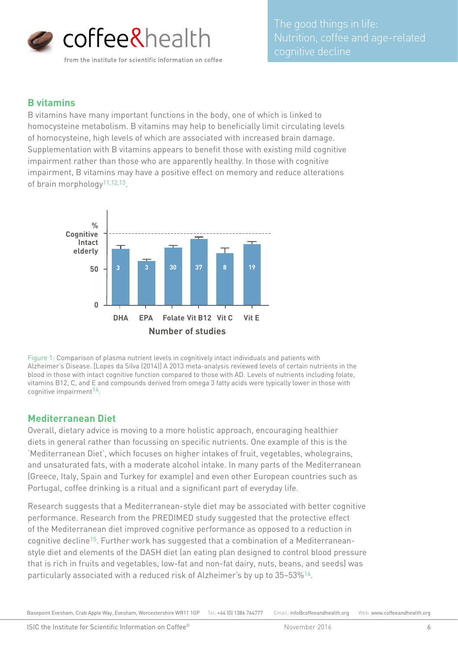

#### **B vitamins**

B vitamins have many important functions in the body, one of which is linked to homocysteine metabolism. B vitamins may help to beneficially limit circulating levels of homocysteine, high levels of which are associated with increased brain damage. Supplementation with B vitamins appears to benefit those with existing mild cognitive impairment rather than those who are apparently healthy. In those with cognitive impairment, B vitamins may have a positive effect on memory and reduce alterations of brain morphology<sup>11,12,13</sup>.



Figure 1: Comparison of plasma nutrient levels in cognitively intact individuals and patients with Alzheimer's Disease. [Lopes da Silva (2014)] A 2013 meta-analysis reviewed levels of certain nutrients in the blood in those with intact cognitive function compared to those with AD. Levels of nutrients including folate, vitamins B12, C, and E and compounds derived from omega 3 fatty acids were typically lower in those with cognitive impairment<sup>14</sup>.

#### **Mediterranean Diet**

Overall, dietary advice is moving to a more holistic approach, encouraging healthier diets in general rather than focussing on specific nutrients. One example of this is the 'Mediterranean Diet', which focuses on higher intakes of fruit, vegetables, wholegrains, and unsaturated fats, with a moderate alcohol intake. In many parts of the Mediterranean (Greece, Italy, Spain and Turkey for example) and even other European countries such as Portugal, coffee drinking is a ritual and a significant part of everyday life.

Research suggests that a Mediterranean-style diet may be associated with better cognitive performance. Research from the PREDIMED study suggested that the protective effect of the Mediterranean diet improved cognitive performance as opposed to a reduction in cognitive decline15. Further work has suggested that a combination of a Mediterraneanstyle diet and elements of the DASH diet (an eating plan designed to control blood pressure that is rich in fruits and vegetables, low-fat and non-fat dairy, nuts, beans, and seeds) was particularly associated with a reduced risk of Alzheimer's by up to 35–53%16.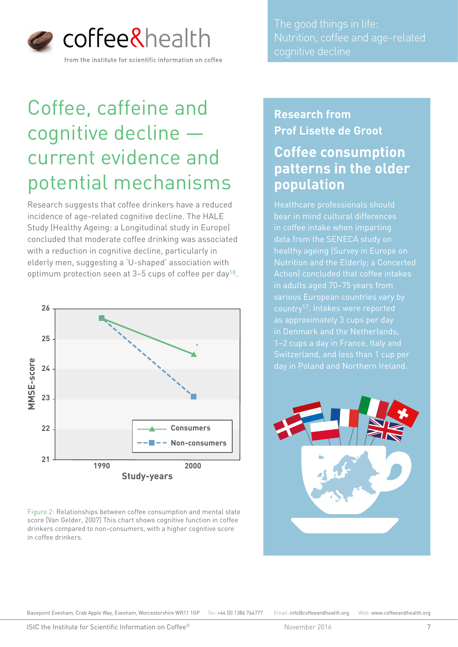

## Coffee, caffeine and cognitive decline current evidence and potential mechanisms

Research suggests that coffee drinkers have a reduced incidence of age-related cognitive decline. The HALE Study (Healthy Ageing: a Longitudinal study in Europe) concluded that moderate coffee drinking was associated with a reduction in cognitive decline, particularly in elderly men, suggesting a 'U-shaped' association with optimum protection seen at 3–5 cups of coffee per day18.



Figure 2: Relationships between coffee consumption and mental state score [Van Gelder, 2007] This chart shows cognitive function in coffee drinkers compared to non-consumers, with a higher cognitive score in coffee drinkers.

The good things in life: Nutrition, coffee and age-related cognitive decline

### **Research from Prof Lisette de Groot**

### **Coffee consumption patterns in the older population**

Healthcare professionals should bear in mind cultural differences Nutrition and the Elderly; a Concerted Action) concluded that coffee intakes country17. Intakes were reported as approximately 3 cups per day day in Poland and Northern Ireland.

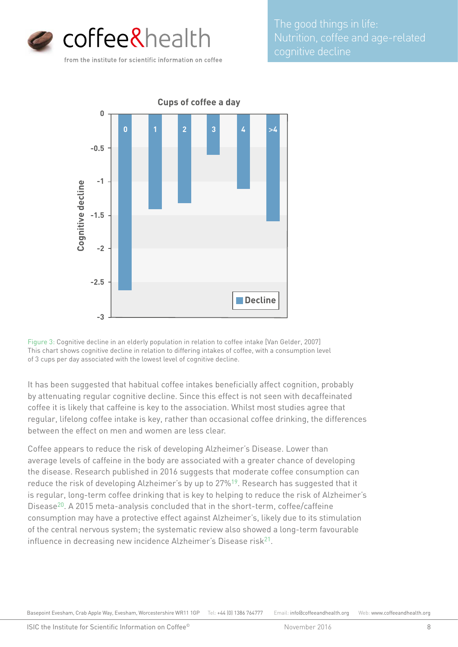

The good things in life: Nutrition, coffee and age-related



Figure 3: Cognitive decline in an elderly population in relation to coffee intake [Van Gelder, 2007] This chart shows cognitive decline in relation to differing intakes of coffee, with a consumption level of 3 cups per day associated with the lowest level of cognitive decline.

It has been suggested that habitual coffee intakes beneficially affect cognition, probably by attenuating regular cognitive decline. Since this effect is not seen with decaffeinated coffee it is likely that caffeine is key to the association. Whilst most studies agree that regular, lifelong coffee intake is key, rather than occasional coffee drinking, the differences between the effect on men and women are less clear.

Coffee appears to reduce the risk of developing Alzheimer's Disease. Lower than average levels of caffeine in the body are associated with a greater chance of developing the disease. Research published in 2016 suggests that moderate coffee consumption can reduce the risk of developing Alzheimer's by up to 27%19. Research has suggested that it is regular, long-term coffee drinking that is key to helping to reduce the risk of Alzheimer's Disease<sup>20</sup>. A 2015 meta-analysis concluded that in the short-term, coffee/caffeine consumption may have a protective effect against Alzheimer's, likely due to its stimulation of the central nervous system; the systematic review also showed a long-term favourable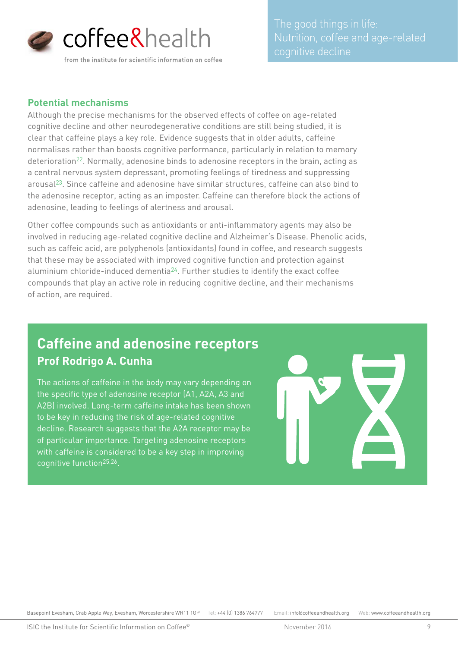

#### **Potential mechanisms**

Although the precise mechanisms for the observed effects of coffee on age-related cognitive decline and other neurodegenerative conditions are still being studied, it is clear that caffeine plays a key role. Evidence suggests that in older adults, caffeine normalises rather than boosts cognitive performance, particularly in relation to memory deterioration<sup>22</sup>. Normally, adenosine binds to adenosine receptors in the brain, acting as a central nervous system depressant, promoting feelings of tiredness and suppressing arousal23. Since caffeine and adenosine have similar structures, caffeine can also bind to the adenosine receptor, acting as an imposter. Caffeine can therefore block the actions of adenosine, leading to feelings of alertness and arousal.

Other coffee compounds such as antioxidants or anti-inflammatory agents may also be involved in reducing age-related cognitive decline and Alzheimer's Disease. Phenolic acids, such as caffeic acid, are polyphenols (antioxidants) found in coffee, and research suggests that these may be associated with improved cognitive function and protection against aluminium chloride-induced dementia<sup>24</sup>. Further studies to identify the exact coffee compounds that play an active role in reducing cognitive decline, and their mechanisms of action, are required.

### **Caffeine and adenosine receptors Prof Rodrigo A. Cunha**

The actions of caffeine in the body may vary depending on the specific type of adenosine receptor (A1, A2A, A3 and A2B) involved. Long-term caffeine intake has been shown to be key in reducing the risk of age-related cognitive decline. Research suggests that the A2A receptor may be of particular importance. Targeting adenosine receptors with caffeine is considered to be a key step in improving cognitive function25,26.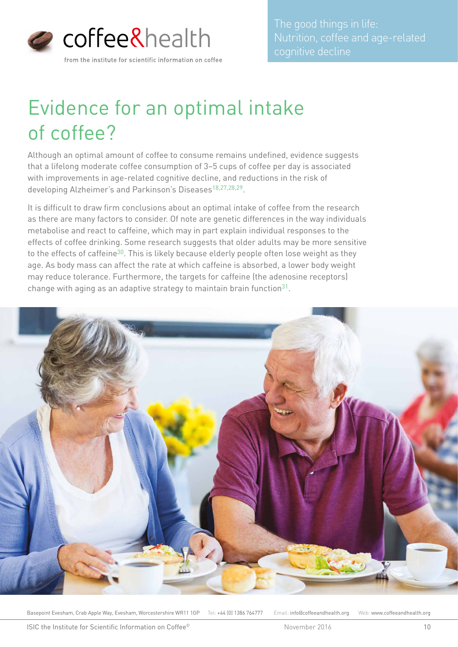

# Evidence for an optimal intake of coffee?

Although an optimal amount of coffee to consume remains undefined, evidence suggests that a lifelong moderate coffee consumption of 3–5 cups of coffee per day is associated with improvements in age-related cognitive decline, and reductions in the risk of developing Alzheimer's and Parkinson's Diseases<sup>18,27,28,29</sup>.

It is difficult to draw firm conclusions about an optimal intake of coffee from the research as there are many factors to consider. Of note are genetic differences in the way individuals metabolise and react to caffeine, which may in part explain individual responses to the effects of coffee drinking. Some research suggests that older adults may be more sensitive to the effects of caffeine<sup>30</sup>. This is likely because elderly people often lose weight as they age. As body mass can affect the rate at which caffeine is absorbed, a lower body weight may reduce tolerance. Furthermore, the targets for caffeine (the adenosine receptors) change with aging as an adaptive strategy to maintain brain function $31$ .

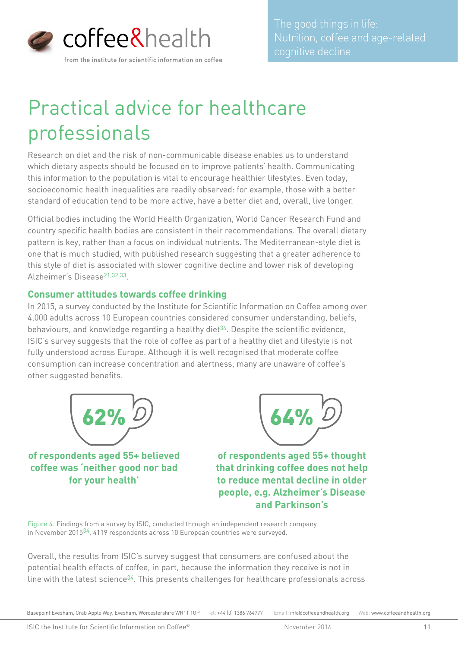

## Practical advice for healthcare professionals

Research on diet and the risk of non-communicable disease enables us to understand which dietary aspects should be focused on to improve patients' health. Communicating this information to the population is vital to encourage healthier lifestyles. Even today, socioeconomic health inequalities are readily observed: for example, those with a better standard of education tend to be more active, have a better diet and, overall, live longer.

Official bodies including the World Health Organization, World Cancer Research Fund and country specific health bodies are consistent in their recommendations. The overall dietary pattern is key, rather than a focus on individual nutrients. The Mediterranean-style diet is one that is much studied, with published research suggesting that a greater adherence to this style of diet is associated with slower cognitive decline and lower risk of developing Alzheimer's Disease21,32,33.

#### **Consumer attitudes towards coffee drinking**

In 2015, a survey conducted by the Institute for Scientific Information on Coffee among over 4,000 adults across 10 European countries considered consumer understanding, beliefs, behaviours, and knowledge regarding a healthy diet $34$ . Despite the scientific evidence, ISIC's survey suggests that the role of coffee as part of a healthy diet and lifestyle is not fully understood across Europe. Although it is well recognised that moderate coffee consumption can increase concentration and alertness, many are unaware of coffee's other suggested benefits.



**of respondents aged 55+ believed coffee was 'neither good nor bad for your health'**



**of respondents aged 55+ thought that drinking coffee does not help to reduce mental decline in older people, e.g. Alzheimer's Disease and Parkinson's**

Figure 4: Findings from a survey by ISIC, conducted through an independent research company in November 201534. 4119 respondents across 10 European countries were surveyed.

Overall, the results from ISIC's survey suggest that consumers are confused about the potential health effects of coffee, in part, because the information they receive is not in line with the latest science<sup>34</sup>. This presents challenges for healthcare professionals across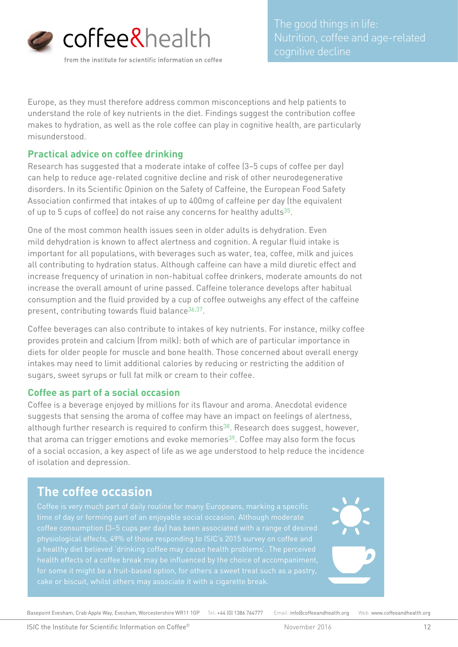

Europe, as they must therefore address common misconceptions and help patients to understand the role of key nutrients in the diet. Findings suggest the contribution coffee makes to hydration, as well as the role coffee can play in cognitive health, are particularly misunderstood.

#### **Practical advice on coffee drinking**

Research has suggested that a moderate intake of coffee (3–5 cups of coffee per day) can help to reduce age-related cognitive decline and risk of other neurodegenerative disorders. In its Scientific Opinion on the Safety of Caffeine, the European Food Safety Association confirmed that intakes of up to 400mg of caffeine per day (the equivalent of up to 5 cups of coffee) do not raise any concerns for healthy adults $35$ .

One of the most common health issues seen in older adults is dehydration. Even mild dehydration is known to affect alertness and cognition. A regular fluid intake is important for all populations, with beverages such as water, tea, coffee, milk and juices all contributing to hydration status. Although caffeine can have a mild diuretic effect and increase frequency of urination in non-habitual coffee drinkers, moderate amounts do not increase the overall amount of urine passed. Caffeine tolerance develops after habitual consumption and the fluid provided by a cup of coffee outweighs any effect of the caffeine present, contributing towards fluid balance<sup>36,37</sup>.

Coffee beverages can also contribute to intakes of key nutrients. For instance, milky coffee provides protein and calcium (from milk): both of which are of particular importance in diets for older people for muscle and bone health. Those concerned about overall energy intakes may need to limit additional calories by reducing or restricting the addition of sugars, sweet syrups or full fat milk or cream to their coffee.

#### **Coffee as part of a social occasion**

Coffee is a beverage enjoyed by millions for its flavour and aroma. Anecdotal evidence suggests that sensing the aroma of coffee may have an impact on feelings of alertness, although further research is required to confirm this<sup>38</sup>. Research does suggest, however, that aroma can trigger emotions and evoke memories<sup>39</sup>. Coffee may also form the focus of a social occasion, a key aspect of life as we age understood to help reduce the incidence of isolation and depression.

### **The coffee occasion**

Coffee is very much part of daily routine for many Europeans, marking a specific coffee consumption (3–5 cups per day) has been associated with a range of desired for some it might be a fruit-based option, for others a sweet treat such as a pastry,

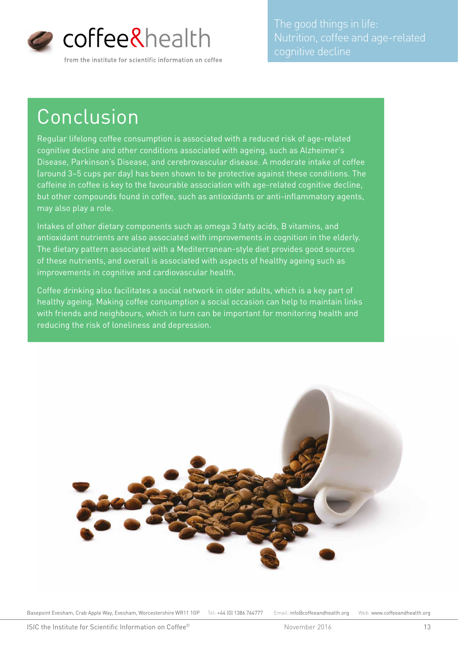

Nutrition, coffee and age-related

## Conclusion

Regular lifelong coffee consumption is associated with a reduced risk of age-related cognitive decline and other conditions associated with ageing, such as Alzheimer's Disease, Parkinson's Disease, and cerebrovascular disease. A moderate intake of coffee (around 3–5 cups per day) has been shown to be protective against these conditions. The caffeine in coffee is key to the favourable association with age-related cognitive decline, but other compounds found in coffee, such as antioxidants or anti-inflammatory agents, may also play a role.

Intakes of other dietary components such as omega 3 fatty acids, B vitamins, and antioxidant nutrients are also associated with improvements in cognition in the elderly. The dietary pattern associated with a Mediterranean-style diet provides good sources of these nutrients, and overall is associated with aspects of healthy ageing such as improvements in cognitive and cardiovascular health.

Coffee drinking also facilitates a social network in older adults, which is a key part of healthy ageing. Making coffee consumption a social occasion can help to maintain links with friends and neighbours, which in turn can be important for monitoring health and reducing the risk of loneliness and depression.

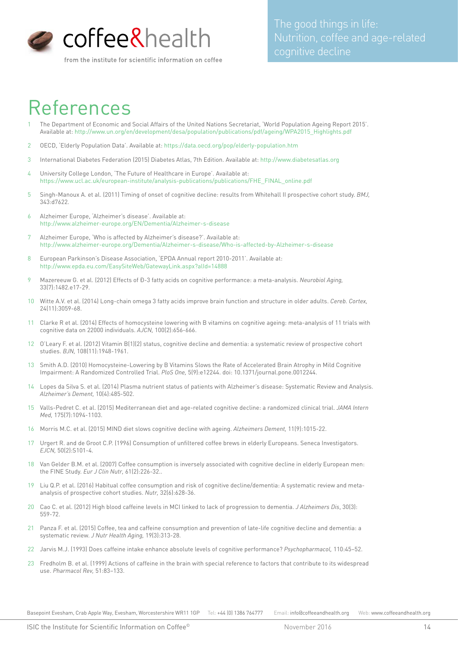

#### from the institute for scientific information on coffee

### References

- 1 The Department of Economic and Social Affairs of the United Nations Secretariat, 'World Population Ageing Report 2015'. Available at: http://www.un.org/en/development/desa/population/publications/pdf/ageing/WPA2015\_Highlights.pdf
- 2 OECD, 'Elderly Population Data'. Available at: https://data.oecd.org/pop/elderly-population.htm
- 3 International Diabetes Federation (2015) Diabetes Atlas, 7th Edition. Available at: http://www.diabetesatlas.org
- 4 University College London, 'The Future of Healthcare in Europe'. Available at: https://www.ucl.ac.uk/european-institute/analysis-publications/publications/FHE\_FINAL\_online.pdf
- 5 Singh-Manoux A. et al. (2011) Timing of onset of cognitive decline: results from Whitehall II prospective cohort study. *BMJ,* 343:d7622.
- 6 Alzheimer Europe, 'Alzheimer's disease'. Available at: http://www.alzheimer-europe.org/EN/Dementia/Alzheimer-s-disease
- 7 Alzheimer Europe, 'Who is affected by Alzheimer's disease?'. Available at: http://www.alzheimer-europe.org/Dementia/Alzheimer-s-disease/Who-is-affected-by-Alzheimer-s-disease
- 8 European Parkinson's Disease Association, 'EPDA Annual report 2010-2011'. Available at: http://www.epda.eu.com/EasySiteWeb/GatewayLink.aspx?alId=14888
- 9 Mazereeuw G. et al. (2012) Effects of Đ-3 fatty acids on cognitive performance: a meta-analysis. *Neurobiol Aging*, 33(7):1482.e17-29.
- 10 Witte A.V. et al. (2014) Long-chain omega 3 fatty acids improve brain function and structure in older adults. *Cereb. Cortex,*  24(11):3059-68.
- 11 Clarke R et al. (2014) Effects of homocysteine lowering with B vitamins on cognitive ageing: meta-analysis of 11 trials with cognitive data on 22000 individuals. *AJCN,* 100(2):656-666.
- 12 O'Leary F. et al. (2012) Vitamin B(1)(2) status, cognitive decline and dementia: a systematic review of prospective cohort studies. *BJN,* 108(11):1948-1961.
- 13 Smith A.D. (2010) Homocysteine-Lowering by B Vitamins Slows the Rate of Accelerated Brain Atrophy in Mild Cognitive Impairment: A Randomized Controlled Trial. *PloS One,* 5(9):e12244. doi: 10.1371/journal.pone.0012244.
- 14 Lopes da Silva S. et al. (2014) Plasma nutrient status of patients with Alzheimer's disease: Systematic Review and Analysis. *Alzheimer's Dement,* 10(4):485-502.
- 15 Valls-Pedret C. et al. (2015) Mediterranean diet and age-related cognitive decline: a randomized clinical trial. *JAMA Intern Med,* 175(7):1094-1103.
- 16 Morris M.C. et al. (2015) MIND diet slows cognitive decline with ageing. *Alzheimers Dement,* 11(9):1015-22.
- 17 Urgert R. and de Groot C.P. (1996) Consumption of unfiltered coffee brews in elderly Europeans. Seneca Investigators. *EJCN,* 50(2):S101-4.
- 18 Van Gelder B.M. et al. (2007) Coffee consumption is inversely associated with cognitive decline in elderly European men: the FINE Study. *Eur J Clin Nutr,* 61(2):226-32..
- 19 Liu Q.P. et al. (2016) Habitual coffee consumption and risk of cognitive decline/dementia: A systematic review and metaanalysis of prospective cohort studies. *Nutr,* 32(6):628-36.
- 20 Cao C. et al. (2012) High blood caffeine levels in MCI linked to lack of progression to dementia. *J Alzheimers Dis*, 30(3): 559-72.
- 21 Panza F. et al. (2015) Coffee, tea and caffeine consumption and prevention of late-life cognitive decline and dementia: a systematic review. *J Nutr Health Aging,* 19(3):313-28.
- 22 Jarvis M.J. (1993) Does caffeine intake enhance absolute levels of cognitive performance? *Psychopharmacol,* 110:45–52.
- 23 Fredholm B. et al. (1999) Actions of caffeine in the brain with special reference to factors that contribute to its widespread use. *Pharmacol Rev,* 51:83–133.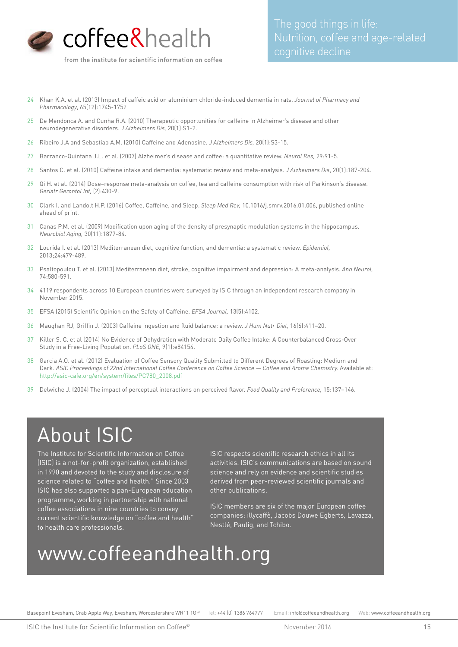

- 24 Khan K.A. et al. (2013) Impact of caffeic acid on aluminium chloride-induced dementia in rats. *Journal of Pharmacy and Pharmacology*, 65(12):1745-1752
- 25 De Mendonca A. and Cunha R.A. (2010) Therapeutic opportunities for caffeine in Alzheimer's disease and other neurodegenerative disorders. *J Alzheimers Dis,* 20(1):S1-2.
- 26 Ribeiro J.A and Sebastiao A.M. (2010) Caffeine and Adenosine. *J Alzheimers Dis,* 20(1):S3-15.
- 27 Barranco-Quintana J.L. et al. (2007) Alzheimer's disease and coffee: a quantitative review. *Neurol Res,* 29:91-5.
- 28 Santos C. et al. (2010) Caffeine intake and dementia: systematic review and meta-analysis. *J Alzheimers Dis*, 20(1):187-204.
- 29 Qi H. et al. (2014) Dose–response meta-analysis on coffee, tea and caffeine consumption with risk of Parkinson's disease. *Geriatr Gerontol Int,* (2):430-9.
- 30 Clark I. and Landolt H.P. (2016) Coffee, Caffeine, and Sleep. *Sleep Med Rev,* 10.1016/j.smrv.2016.01.006, published online ahead of print.
- 31 Canas P.M. et al. (2009) Modification upon aging of the density of presynaptic modulation systems in the hippocampus. *Neurobiol Aging,* 30(11):1877-84.
- 32 Lourida I. et al. (2013) Mediterranean diet, cognitive function, and dementia: a systematic review. *Epidemiol,*  2013;24:479-489.
- 33 Psaltopoulou T. et al. (2013) Mediterranean diet, stroke, cognitive impairment and depression: A meta-analysis. *Ann Neurol,* 74:580-591.
- 34 4119 respondents across 10 European countries were surveyed by ISIC through an independent research company in November 2015.
- 35 EFSA (2015) Scientific Opinion on the Safety of Caffeine. *EFSA Journal,* 13(5):4102.
- 36 Maughan RJ, Griffin J. (2003) Caffeine ingestion and fluid balance: a review. *J Hum Nutr Diet,* 16(6):411–20.
- 37 Killer S. C. et al (2014) No Evidence of Dehydration with Moderate Daily Coffee Intake: A Counterbalanced Cross-Over Study in a Free-Living Population. *PLoS ONE,* 9(1):e84154.
- 38 Garcia A.O. et al. (2012) Evaluation of Coffee Sensory Quality Submitted to Different Degrees of Roasting: Medium and Dark. ASIC Proceedings of 22nd International Coffee Conference on Coffee Science - Coffee and Aroma Chemistry. Available at: http://asic-cafe.org/en/system/files/PC780\_2008.pdf
- 39 Delwiche J. (2004) The impact of perceptual interactions on perceived flavor. *Food Quality and Preference,* 15:137–146.

### About ISIC

The Institute for Scientific Information on Coffee (ISIC) is a not-for-profit organization, established in 1990 and devoted to the study and disclosure of science related to "coffee and health." Since 2003 ISIC has also supported a pan-European education programme, working in partnership with national coffee associations in nine countries to convey current scientific knowledge on "coffee and health" to health care professionals.

ISIC respects scientific research ethics in all its activities. ISIC's communications are based on sound science and rely on evidence and scientific studies derived from peer-reviewed scientific journals and other publications.

ISIC members are six of the major European coffee companies: illycaffè, Jacobs Douwe Egberts, Lavazza, Nestlé, Paulig, and Tchibo.

### www.coffeeandhealth.org